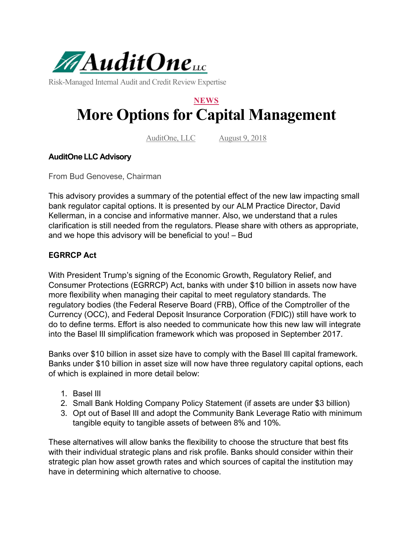

Risk-Managed Internal Audit and Credit Review Expertise

# **NEWS More Options for Capital Management**

AuditOne, LLC August 9, 2018

### **AuditOne LLC Advisory**

From Bud Genovese, Chairman

This advisory provides a summary of the potential effect of the new law impacting small bank regulator capital options. It is presented by our ALM Practice Director, David Kellerman, in a concise and informative manner. Also, we understand that a rules clarification is still needed from the regulators. Please share with others as appropriate, and we hope this advisory will be beneficial to you! – Bud

### **EGRRCP Act**

With President Trump's signing of the Economic Growth, Regulatory Relief, and Consumer Protections (EGRRCP) Act, banks with under \$10 billion in assets now have more flexibility when managing their capital to meet regulatory standards. The regulatory bodies (the Federal Reserve Board (FRB), Office of the Comptroller of the Currency (OCC), and Federal Deposit Insurance Corporation (FDIC)) still have work to do to define terms. Effort is also needed to communicate how this new law will integrate into the Basel III simplification framework which was proposed in September 2017.

Banks over \$10 billion in asset size have to comply with the Basel III capital framework. Banks under \$10 billion in asset size will now have three regulatory capital options, each of which is explained in more detail below:

- 1. Basel III
- 2. Small Bank Holding Company Policy Statement (if assets are under \$3 billion)
- 3. Opt out of Basel III and adopt the Community Bank Leverage Ratio with minimum tangible equity to tangible assets of between 8% and 10%.

These alternatives will allow banks the flexibility to choose the structure that best fits with their individual strategic plans and risk profile. Banks should consider within their strategic plan how asset growth rates and which sources of capital the institution may have in determining which alternative to choose.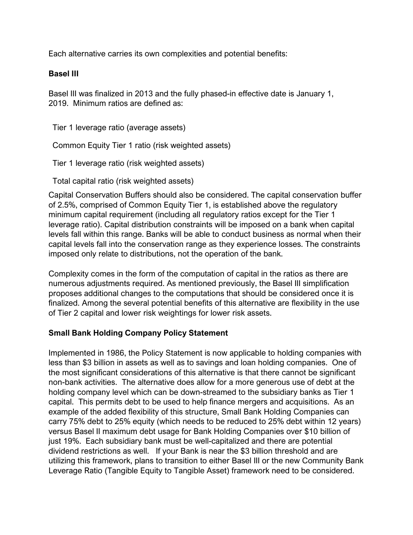Each alternative carries its own complexities and potential benefits:

### **Basel III**

Basel III was finalized in 2013 and the fully phased-in effective date is January 1, 2019. Minimum ratios are defined as:

Tier 1 leverage ratio (average assets)

Common Equity Tier 1 ratio (risk weighted assets)

Tier 1 leverage ratio (risk weighted assets)

Total capital ratio (risk weighted assets)

Capital Conservation Buffers should also be considered. The capital conservation buffer of 2.5%, comprised of Common Equity Tier 1, is established above the regulatory minimum capital requirement (including all regulatory ratios except for the Tier 1 leverage ratio). Capital distribution constraints will be imposed on a bank when capital levels fall within this range. Banks will be able to conduct business as normal when their capital levels fall into the conservation range as they experience losses. The constraints imposed only relate to distributions, not the operation of the bank.

Complexity comes in the form of the computation of capital in the ratios as there are numerous adjustments required. As mentioned previously, the Basel III simplification proposes additional changes to the computations that should be considered once it is finalized. Among the several potential benefits of this alternative are flexibility in the use of Tier 2 capital and lower risk weightings for lower risk assets.

## **Small Bank Holding Company Policy Statement**

Implemented in 1986, the Policy Statement is now applicable to holding companies with less than \$3 billion in assets as well as to savings and loan holding companies. One of the most significant considerations of this alternative is that there cannot be significant non-bank activities. The alternative does allow for a more generous use of debt at the holding company level which can be down-streamed to the subsidiary banks as Tier 1 capital. This permits debt to be used to help finance mergers and acquisitions. As an example of the added flexibility of this structure, Small Bank Holding Companies can carry 75% debt to 25% equity (which needs to be reduced to 25% debt within 12 years) versus Basel II maximum debt usage for Bank Holding Companies over \$10 billion of just 19%. Each subsidiary bank must be well-capitalized and there are potential dividend restrictions as well. If your Bank is near the \$3 billion threshold and are utilizing this framework, plans to transition to either Basel III or the new Community Bank Leverage Ratio (Tangible Equity to Tangible Asset) framework need to be considered.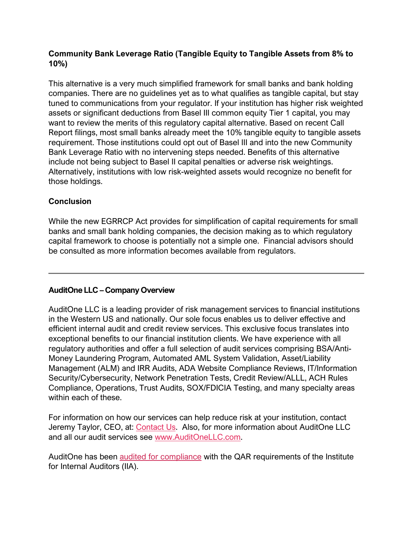## **Community Bank Leverage Ratio (Tangible Equity to Tangible Assets from 8% to 10%)**

This alternative is a very much simplified framework for small banks and bank holding companies. There are no guidelines yet as to what qualifies as tangible capital, but stay tuned to communications from your regulator. If your institution has higher risk weighted assets or significant deductions from Basel III common equity Tier 1 capital, you may want to review the merits of this regulatory capital alternative. Based on recent Call Report filings, most small banks already meet the 10% tangible equity to tangible assets requirement. Those institutions could opt out of Basel III and into the new Community Bank Leverage Ratio with no intervening steps needed. Benefits of this alternative include not being subject to Basel II capital penalties or adverse risk weightings. Alternatively, institutions with low risk-weighted assets would recognize no benefit for those holdings.

# **Conclusion**

While the new EGRRCP Act provides for simplification of capital requirements for small banks and small bank holding companies, the decision making as to which regulatory capital framework to choose is potentially not a simple one. Financial advisors should be consulted as more information becomes available from regulators.

# **AuditOne LLC – Company Overview**

AuditOne LLC is a leading provider of risk management services to financial institutions in the Western US and nationally. Our sole focus enables us to deliver effective and efficient internal audit and credit review services. This exclusive focus translates into exceptional benefits to our financial institution clients. We have experience with all regulatory authorities and offer a full selection of audit services comprising BSA/Anti-Money Laundering Program, Automated AML System Validation, Asset/Liability Management (ALM) and IRR Audits, ADA Website Compliance Reviews, IT/Information Security/Cybersecurity, Network Penetration Tests, Credit Review/ALLL, ACH Rules Compliance, Operations, Trust Audits, SOX/FDICIA Testing, and many specialty areas within each of these.

For information on how our services can help reduce risk at your institution, contact Jeremy Taylor, CEO, at: [Contact Us.](https://auditonellc.com/contact-us) Also, for more information about AuditOne LLC and all our audit services see [www.AuditOneLLC.com.](http://www.auditonellc.com/)

AuditOne has been [audited for compliance](https://auditonellc.com/qar) with the QAR requirements of the Institute for Internal Auditors (IIA).